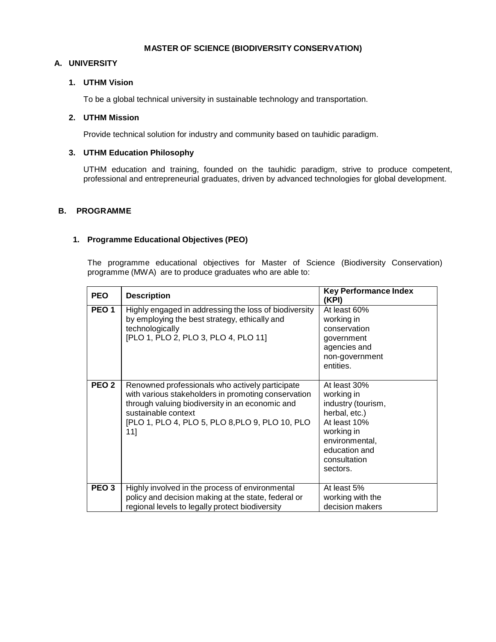#### **MASTER OF SCIENCE (BIODIVERSITY CONSERVATION)**

# **A. UNIVERSITY**

# **1. UTHM Vision**

To be a global technical university in sustainable technology and transportation.

# **2. UTHM Mission**

Provide technical solution for industry and community based on tauhidic paradigm.

# **3. UTHM Education Philosophy**

UTHM education and training, founded on the tauhidic paradigm, strive to produce competent, professional and entrepreneurial graduates, driven by advanced technologies for global development.

## **B. PROGRAMME**

## **1. Programme Educational Objectives (PEO)**

The programme educational objectives for Master of Science (Biodiversity Conservation) programme (MWA) are to produce graduates who are able to:

| <b>PEO</b>       | <b>Description</b>                                                                                                                                                                                                                         | <b>Key Performance Index</b><br>(KPI)                                                                                                                          |
|------------------|--------------------------------------------------------------------------------------------------------------------------------------------------------------------------------------------------------------------------------------------|----------------------------------------------------------------------------------------------------------------------------------------------------------------|
| PEO <sub>1</sub> | Highly engaged in addressing the loss of biodiversity<br>by employing the best strategy, ethically and<br>technologically<br>[PLO 1, PLO 2, PLO 3, PLO 4, PLO 11]                                                                          | At least 60%<br>working in<br>conservation<br>government<br>agencies and<br>non-government<br>entities.                                                        |
| PEO <sub>2</sub> | Renowned professionals who actively participate<br>with various stakeholders in promoting conservation<br>through valuing biodiversity in an economic and<br>sustainable context<br>[PLO 1, PLO 4, PLO 5, PLO 8, PLO 9, PLO 10, PLO<br>11] | At least 30%<br>working in<br>industry (tourism,<br>herbal, etc.)<br>At least 10%<br>working in<br>environmental,<br>education and<br>consultation<br>sectors. |
| PEO <sub>3</sub> | Highly involved in the process of environmental<br>policy and decision making at the state, federal or<br>regional levels to legally protect biodiversity                                                                                  | At least 5%<br>working with the<br>decision makers                                                                                                             |